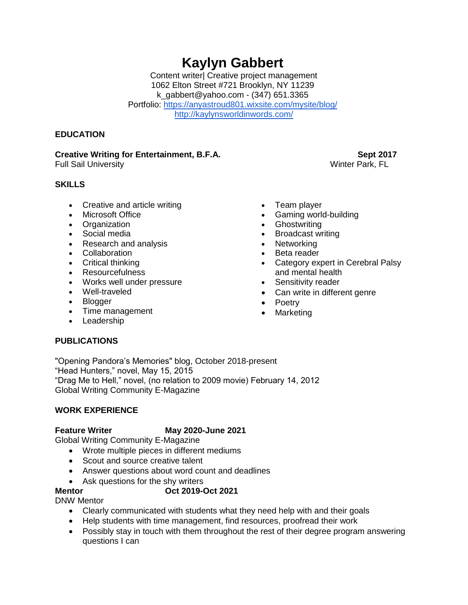# **Kaylyn Gabbert**

Content writer| Creative project management 1062 Elton Street #721 Brooklyn, NY 11239 k\_gabbert@yahoo.com - (347) 651.3365 Portfolio:<https://anyastroud801.wixsite.com/mysite/blog/> <http://kaylynsworldinwords.com/>

### **EDUCATION**

### **Creative Writing for Entertainment, B.F.A.** Sept 2017

Full Sail University **Winter Park, FL** 

## **SKILLS**

- Creative and article writing
- Microsoft Office
- Organization
- Social media
- Research and analysis
- Collaboration
- Critical thinking
- Resourcefulness
- Works well under pressure
- Well-traveled
- Blogger
- Time management
- Leadership
- Team player
- Gaming world-building
- 
- Broadcast writing
- Networking
- Beta reader
- Category expert in Cerebral Palsy and mental health
- Sensitivity reader
- Can write in different genre
- Poetry
- Marketing

# **PUBLICATIONS**

"Opening Pandora's Memories" blog, October 2018-present "Head Hunters," novel, May 15, 2015 "Drag Me to Hell," novel, (no relation to 2009 movie) February 14, 2012 Global Writing Community E-Magazine

### **WORK EXPERIENCE**

# **Feature Writer May 2020-June 2021**

Global Writing Community E-Magazine

- Wrote multiple pieces in different mediums
- Scout and source creative talent
- Answer questions about word count and deadlines
- Ask questions for the shy writers

### **Mentor Oct 2019-Oct 2021**

DNW Mentor

- Clearly communicated with students what they need help with and their goals
- Help students with time management, find resources, proofread their work
- Possibly stay in touch with them throughout the rest of their degree program answering questions I can

- 
- **Ghostwriting**